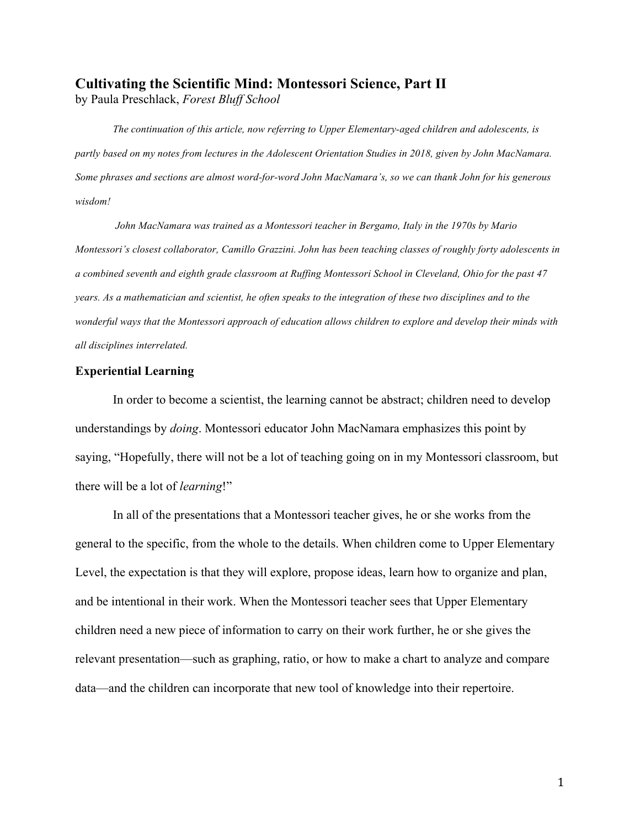# **Cultivating the Scientific Mind: Montessori Science, Part II**

by Paula Preschlack, *Forest Bluff School*

*The continuation of this article, now referring to Upper Elementary-aged children and adolescents, is partly based on my notes from lectures in the Adolescent Orientation Studies in 2018, given by John MacNamara. Some phrases and sections are almost word-for-word John MacNamara's, so we can thank John for his generous wisdom!*

*John MacNamara was trained as a Montessori teacher in Bergamo, Italy in the 1970s by Mario Montessori's closest collaborator, Camillo Grazzini. John has been teaching classes of roughly forty adolescents in a combined seventh and eighth grade classroom at Ruffing Montessori School in Cleveland, Ohio for the past 47 years. As a mathematician and scientist, he often speaks to the integration of these two disciplines and to the wonderful ways that the Montessori approach of education allows children to explore and develop their minds with all disciplines interrelated.*

## **Experiential Learning**

In order to become a scientist, the learning cannot be abstract; children need to develop understandings by *doing*. Montessori educator John MacNamara emphasizes this point by saying, "Hopefully, there will not be a lot of teaching going on in my Montessori classroom, but there will be a lot of *learning*!"

In all of the presentations that a Montessori teacher gives, he or she works from the general to the specific, from the whole to the details. When children come to Upper Elementary Level, the expectation is that they will explore, propose ideas, learn how to organize and plan, and be intentional in their work. When the Montessori teacher sees that Upper Elementary children need a new piece of information to carry on their work further, he or she gives the relevant presentation—such as graphing, ratio, or how to make a chart to analyze and compare data—and the children can incorporate that new tool of knowledge into their repertoire.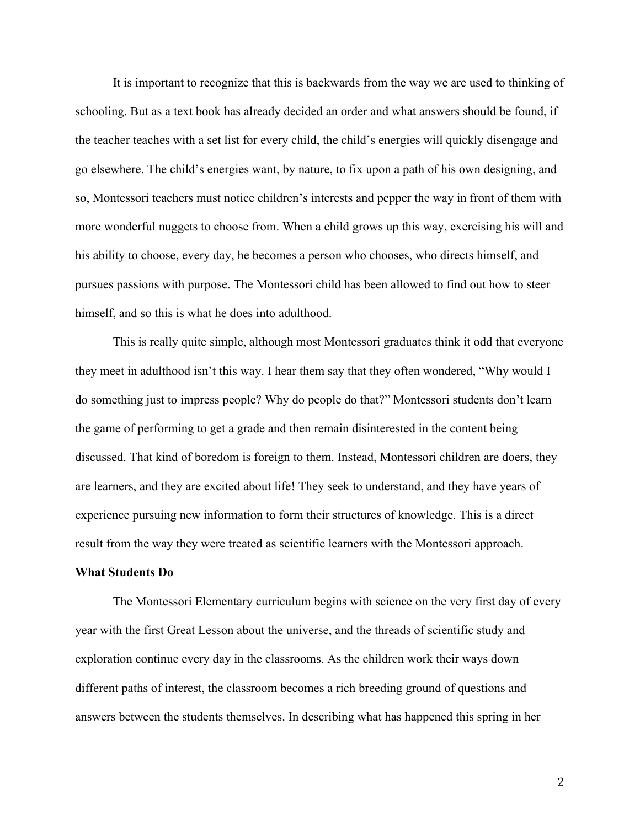It is important to recognize that this is backwards from the way we are used to thinking of schooling. But as a text book has already decided an order and what answers should be found, if the teacher teaches with a set list for every child, the child's energies will quickly disengage and go elsewhere. The child's energies want, by nature, to fix upon a path of his own designing, and so, Montessori teachers must notice children's interests and pepper the way in front of them with more wonderful nuggets to choose from. When a child grows up this way, exercising his will and his ability to choose, every day, he becomes a person who chooses, who directs himself, and pursues passions with purpose. The Montessori child has been allowed to find out how to steer himself, and so this is what he does into adulthood.

This is really quite simple, although most Montessori graduates think it odd that everyone they meet in adulthood isn't this way. I hear them say that they often wondered, "Why would I do something just to impress people? Why do people do that?" Montessori students don't learn the game of performing to get a grade and then remain disinterested in the content being discussed. That kind of boredom is foreign to them. Instead, Montessori children are doers, they are learners, and they are excited about life! They seek to understand, and they have years of experience pursuing new information to form their structures of knowledge. This is a direct result from the way they were treated as scientific learners with the Montessori approach.

### **What Students Do**

The Montessori Elementary curriculum begins with science on the very first day of every year with the first Great Lesson about the universe, and the threads of scientific study and exploration continue every day in the classrooms. As the children work their ways down different paths of interest, the classroom becomes a rich breeding ground of questions and answers between the students themselves. In describing what has happened this spring in her

2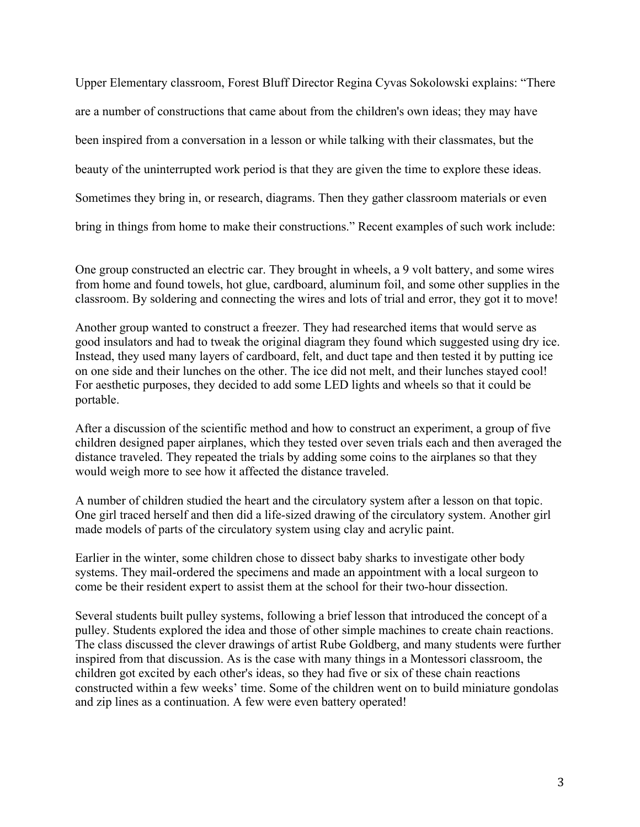Upper Elementary classroom, Forest Bluff Director Regina Cyvas Sokolowski explains: "There are a number of constructions that came about from the children's own ideas; they may have been inspired from a conversation in a lesson or while talking with their classmates, but the beauty of the uninterrupted work period is that they are given the time to explore these ideas. Sometimes they bring in, or research, diagrams. Then they gather classroom materials or even bring in things from home to make their constructions." Recent examples of such work include:

One group constructed an electric car. They brought in wheels, a 9 volt battery, and some wires from home and found towels, hot glue, cardboard, aluminum foil, and some other supplies in the classroom. By soldering and connecting the wires and lots of trial and error, they got it to move!

Another group wanted to construct a freezer. They had researched items that would serve as good insulators and had to tweak the original diagram they found which suggested using dry ice. Instead, they used many layers of cardboard, felt, and duct tape and then tested it by putting ice on one side and their lunches on the other. The ice did not melt, and their lunches stayed cool! For aesthetic purposes, they decided to add some LED lights and wheels so that it could be portable.

After a discussion of the scientific method and how to construct an experiment, a group of five children designed paper airplanes, which they tested over seven trials each and then averaged the distance traveled. They repeated the trials by adding some coins to the airplanes so that they would weigh more to see how it affected the distance traveled.

A number of children studied the heart and the circulatory system after a lesson on that topic. One girl traced herself and then did a life-sized drawing of the circulatory system. Another girl made models of parts of the circulatory system using clay and acrylic paint.

Earlier in the winter, some children chose to dissect baby sharks to investigate other body systems. They mail-ordered the specimens and made an appointment with a local surgeon to come be their resident expert to assist them at the school for their two-hour dissection.

Several students built pulley systems, following a brief lesson that introduced the concept of a pulley. Students explored the idea and those of other simple machines to create chain reactions. The class discussed the clever drawings of artist Rube Goldberg, and many students were further inspired from that discussion. As is the case with many things in a Montessori classroom, the children got excited by each other's ideas, so they had five or six of these chain reactions constructed within a few weeks' time. Some of the children went on to build miniature gondolas and zip lines as a continuation. A few were even battery operated!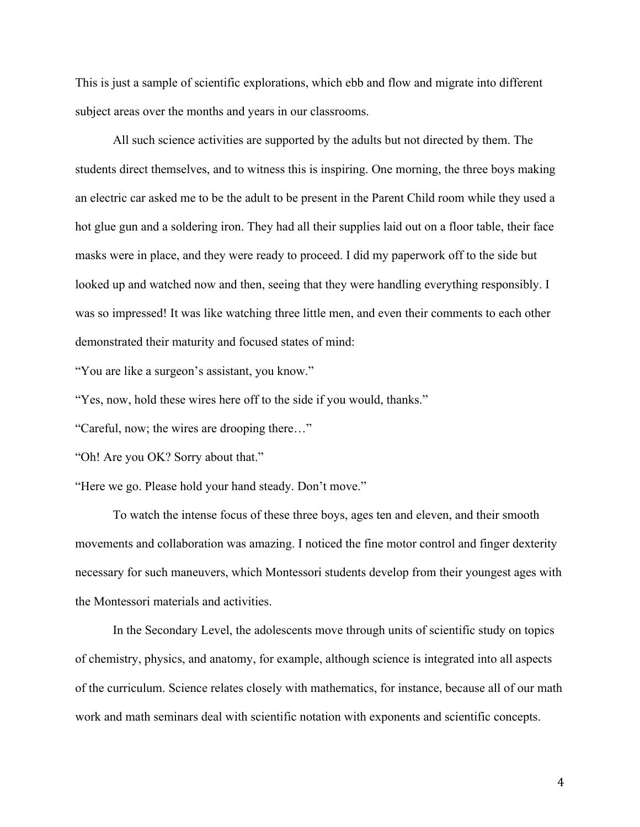This is just a sample of scientific explorations, which ebb and flow and migrate into different subject areas over the months and years in our classrooms.

All such science activities are supported by the adults but not directed by them. The students direct themselves, and to witness this is inspiring. One morning, the three boys making an electric car asked me to be the adult to be present in the Parent Child room while they used a hot glue gun and a soldering iron. They had all their supplies laid out on a floor table, their face masks were in place, and they were ready to proceed. I did my paperwork off to the side but looked up and watched now and then, seeing that they were handling everything responsibly. I was so impressed! It was like watching three little men, and even their comments to each other demonstrated their maturity and focused states of mind:

"You are like a surgeon's assistant, you know."

"Yes, now, hold these wires here off to the side if you would, thanks."

"Careful, now; the wires are drooping there…"

"Oh! Are you OK? Sorry about that."

"Here we go. Please hold your hand steady. Don't move."

To watch the intense focus of these three boys, ages ten and eleven, and their smooth movements and collaboration was amazing. I noticed the fine motor control and finger dexterity necessary for such maneuvers, which Montessori students develop from their youngest ages with the Montessori materials and activities.

In the Secondary Level, the adolescents move through units of scientific study on topics of chemistry, physics, and anatomy, for example, although science is integrated into all aspects of the curriculum. Science relates closely with mathematics, for instance, because all of our math work and math seminars deal with scientific notation with exponents and scientific concepts.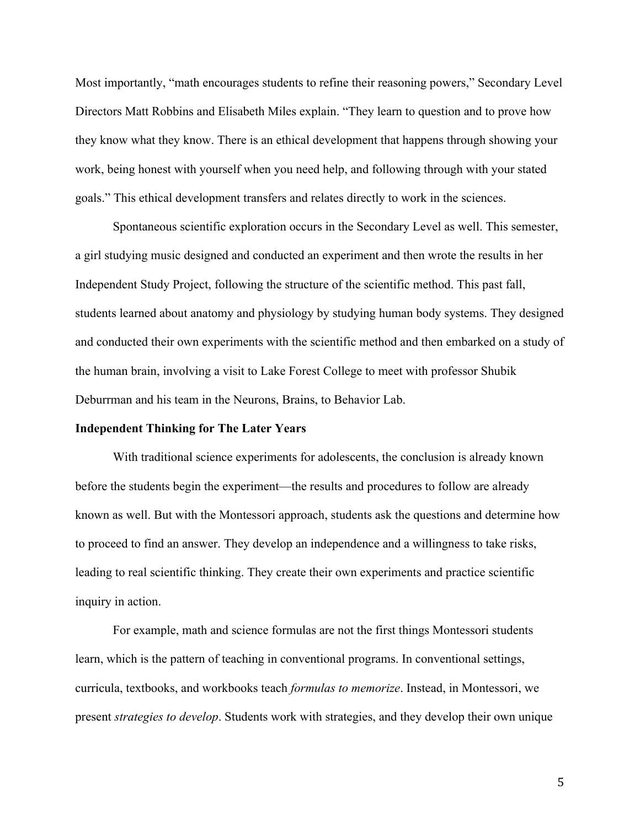Most importantly, "math encourages students to refine their reasoning powers," Secondary Level Directors Matt Robbins and Elisabeth Miles explain. "They learn to question and to prove how they know what they know. There is an ethical development that happens through showing your work, being honest with yourself when you need help, and following through with your stated goals." This ethical development transfers and relates directly to work in the sciences.

Spontaneous scientific exploration occurs in the Secondary Level as well. This semester, a girl studying music designed and conducted an experiment and then wrote the results in her Independent Study Project, following the structure of the scientific method. This past fall, students learned about anatomy and physiology by studying human body systems. They designed and conducted their own experiments with the scientific method and then embarked on a study of the human brain, involving a visit to Lake Forest College to meet with professor Shubik Deburrman and his team in the Neurons, Brains, to Behavior Lab.

### **Independent Thinking for The Later Years**

With traditional science experiments for adolescents, the conclusion is already known before the students begin the experiment—the results and procedures to follow are already known as well. But with the Montessori approach, students ask the questions and determine how to proceed to find an answer. They develop an independence and a willingness to take risks, leading to real scientific thinking. They create their own experiments and practice scientific inquiry in action.

For example, math and science formulas are not the first things Montessori students learn, which is the pattern of teaching in conventional programs. In conventional settings, curricula, textbooks, and workbooks teach *formulas to memorize*. Instead, in Montessori, we present *strategies to develop*. Students work with strategies, and they develop their own unique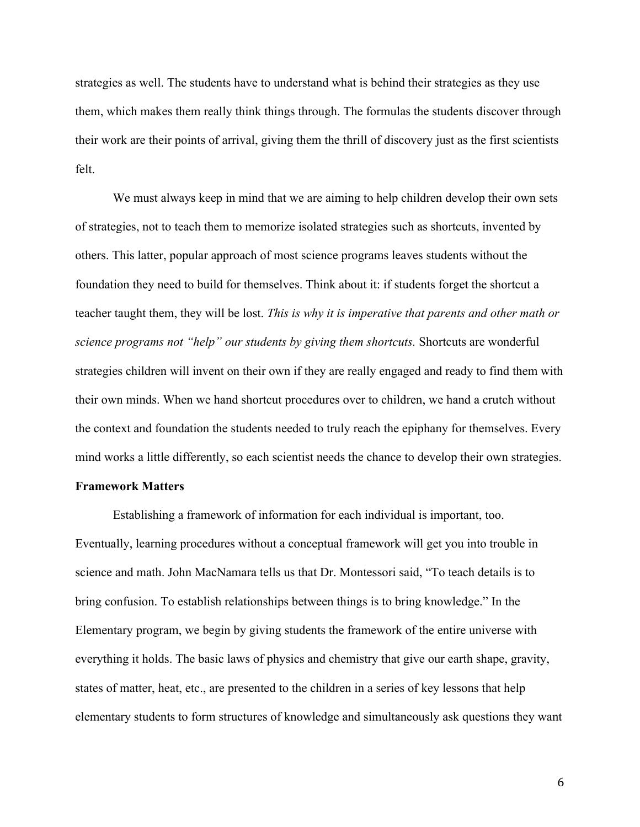strategies as well. The students have to understand what is behind their strategies as they use them, which makes them really think things through. The formulas the students discover through their work are their points of arrival, giving them the thrill of discovery just as the first scientists felt.

We must always keep in mind that we are aiming to help children develop their own sets of strategies, not to teach them to memorize isolated strategies such as shortcuts, invented by others. This latter, popular approach of most science programs leaves students without the foundation they need to build for themselves. Think about it: if students forget the shortcut a teacher taught them, they will be lost. *This is why it is imperative that parents and other math or science programs not "help" our students by giving them shortcuts.* Shortcuts are wonderful strategies children will invent on their own if they are really engaged and ready to find them with their own minds. When we hand shortcut procedures over to children, we hand a crutch without the context and foundation the students needed to truly reach the epiphany for themselves. Every mind works a little differently, so each scientist needs the chance to develop their own strategies.

## **Framework Matters**

Establishing a framework of information for each individual is important, too. Eventually, learning procedures without a conceptual framework will get you into trouble in science and math. John MacNamara tells us that Dr. Montessori said, "To teach details is to bring confusion. To establish relationships between things is to bring knowledge." In the Elementary program, we begin by giving students the framework of the entire universe with everything it holds. The basic laws of physics and chemistry that give our earth shape, gravity, states of matter, heat, etc., are presented to the children in a series of key lessons that help elementary students to form structures of knowledge and simultaneously ask questions they want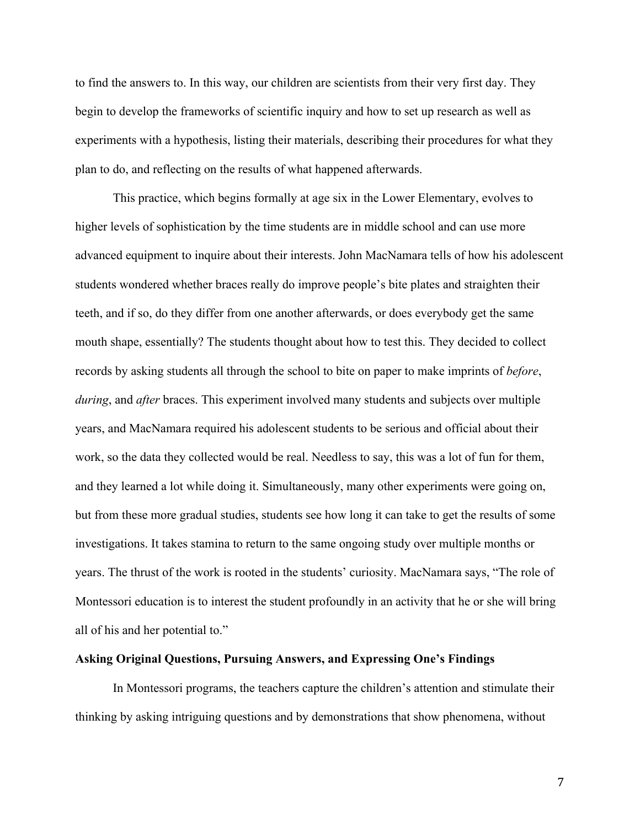to find the answers to. In this way, our children are scientists from their very first day. They begin to develop the frameworks of scientific inquiry and how to set up research as well as experiments with a hypothesis, listing their materials, describing their procedures for what they plan to do, and reflecting on the results of what happened afterwards.

This practice, which begins formally at age six in the Lower Elementary, evolves to higher levels of sophistication by the time students are in middle school and can use more advanced equipment to inquire about their interests. John MacNamara tells of how his adolescent students wondered whether braces really do improve people's bite plates and straighten their teeth, and if so, do they differ from one another afterwards, or does everybody get the same mouth shape, essentially? The students thought about how to test this. They decided to collect records by asking students all through the school to bite on paper to make imprints of *before*, *during*, and *after* braces. This experiment involved many students and subjects over multiple years, and MacNamara required his adolescent students to be serious and official about their work, so the data they collected would be real. Needless to say, this was a lot of fun for them, and they learned a lot while doing it. Simultaneously, many other experiments were going on, but from these more gradual studies, students see how long it can take to get the results of some investigations. It takes stamina to return to the same ongoing study over multiple months or years. The thrust of the work is rooted in the students' curiosity. MacNamara says, "The role of Montessori education is to interest the student profoundly in an activity that he or she will bring all of his and her potential to."

#### **Asking Original Questions, Pursuing Answers, and Expressing One's Findings**

In Montessori programs, the teachers capture the children's attention and stimulate their thinking by asking intriguing questions and by demonstrations that show phenomena, without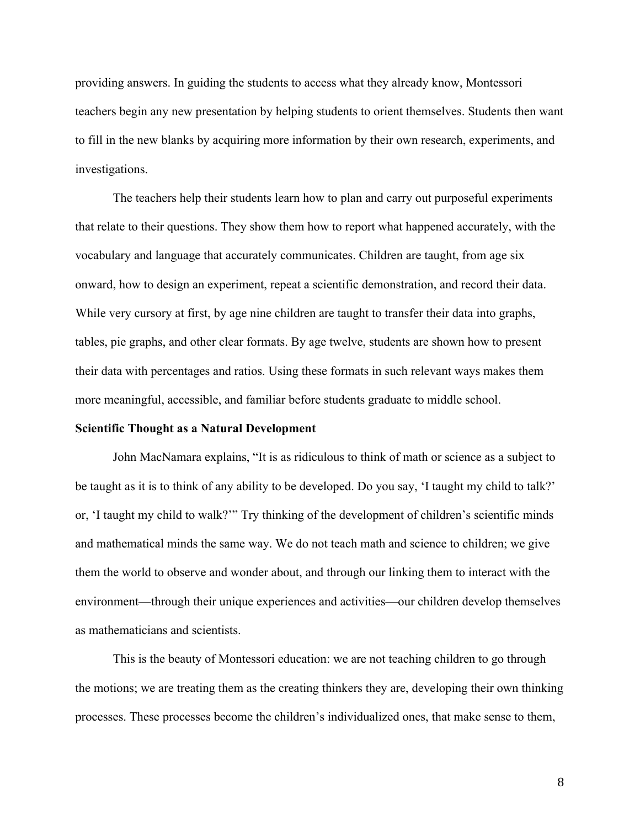providing answers. In guiding the students to access what they already know, Montessori teachers begin any new presentation by helping students to orient themselves. Students then want to fill in the new blanks by acquiring more information by their own research, experiments, and investigations.

The teachers help their students learn how to plan and carry out purposeful experiments that relate to their questions. They show them how to report what happened accurately, with the vocabulary and language that accurately communicates. Children are taught, from age six onward, how to design an experiment, repeat a scientific demonstration, and record their data. While very cursory at first, by age nine children are taught to transfer their data into graphs, tables, pie graphs, and other clear formats. By age twelve, students are shown how to present their data with percentages and ratios. Using these formats in such relevant ways makes them more meaningful, accessible, and familiar before students graduate to middle school.

### **Scientific Thought as a Natural Development**

John MacNamara explains, "It is as ridiculous to think of math or science as a subject to be taught as it is to think of any ability to be developed. Do you say, 'I taught my child to talk?' or, 'I taught my child to walk?'" Try thinking of the development of children's scientific minds and mathematical minds the same way. We do not teach math and science to children; we give them the world to observe and wonder about, and through our linking them to interact with the environment—through their unique experiences and activities—our children develop themselves as mathematicians and scientists.

This is the beauty of Montessori education: we are not teaching children to go through the motions; we are treating them as the creating thinkers they are, developing their own thinking processes. These processes become the children's individualized ones, that make sense to them,